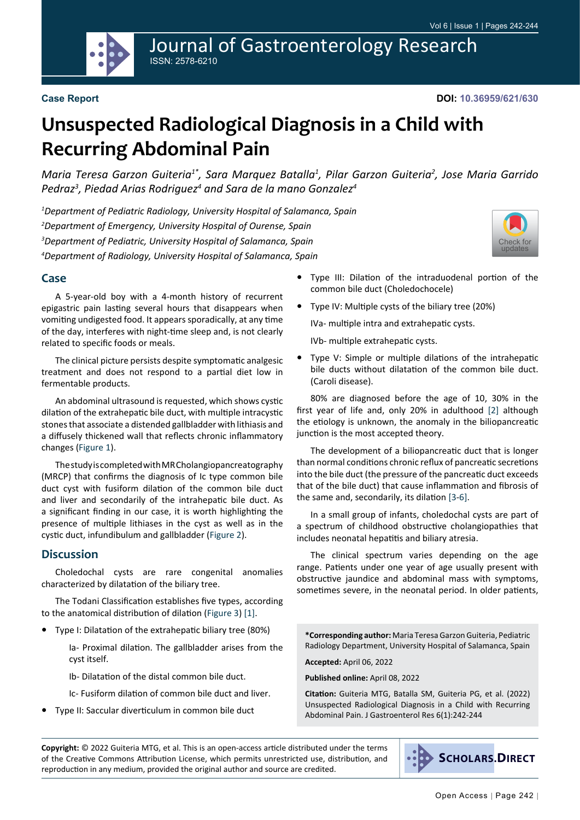Journal of Gastroenterology Research ISSN: 2578-6210

[Check for](http://crossmark.crossref.org/dialog/?doi=10.36959/621/630&domain=pdf) updates

# **Unsuspected Radiological Diagnosis in a Child with Recurring Abdominal Pain**

*Maria Teresa Garzon Guiteria1\*, Sara Marquez Batalla1 , Pilar Garzon Guiteria2 , Jose Maria Garrido Pedraz3 , Piedad Arias Rodriguez4 and Sara de la mano Gonzalez4*

 *Department of Pediatric Radiology, University Hospital of Salamanca, Spain Department of Emergency, University Hospital of Ourense, Spain Department of Pediatric, University Hospital of Salamanca, Spain Department of Radiology, University Hospital of Salamanca, Spain*

#### **Case**

A 5-year-old boy with a 4-month history of recurrent epigastric pain lasting several hours that disappears when vomiting undigested food. It appears sporadically, at any time of the day, interferes with night-time sleep and, is not clearly related to specific foods or meals.

The clinical picture persists despite symptomatic analgesic treatment and does not respond to a partial diet low in fermentable products.

An abdominal ultrasound is requested, which shows cystic dilation of the extrahepatic bile duct, with multiple intracystic stones that associate a distended gallbladder with lithiasis and a diffusely thickened wall that reflects chronic inflammatory changes ([Figure 1](#page-1-0)).

The study is completed with MR Cholangiopancreatography (MRCP) that confirms the diagnosis of Ic type common bile duct cyst with fusiform dilation of the common bile duct and liver and secondarily of the intrahepatic bile duct. As a significant finding in our case, it is worth highlighting the presence of multiple lithiases in the cyst as well as in the cystic duct, infundibulum and gallbladder [\(Figure 2](#page-1-1)).

#### **Discussion**

Choledochal cysts are rare congenital anomalies characterized by dilatation of the biliary tree.

The Todani Classification establishes five types, according to the anatomical distribution of dilation ([Figure 3](#page-2-0)) [[1\]](#page-2-1).

**•**  Type I: Dilatation of the extrahepatic biliary tree (80%)

Ia- Proximal dilation. The gallbladder arises from the cyst itself.

Ib- Dilatation of the distal common bile duct.

- Ic- Fusiform dilation of common bile duct and liver.
- **Type II: Saccular diverticulum in common bile duct**
- **•**  Type III: Dilation of the intraduodenal portion of the common bile duct (Choledochocele)
- **•**  Type IV: Multiple cysts of the biliary tree (20%)

IVa- multiple intra and extrahepatic cysts.

IVb- multiple extrahepatic cysts.

**•**  Type V: Simple or multiple dilations of the intrahepatic bile ducts without dilatation of the common bile duct. (Caroli disease).

80% are diagnosed before the age of 10, 30% in the first year of life and, only 20% in adulthood [\[2](#page-2-2)] although the etiology is unknown, the anomaly in the biliopancreatic junction is the most accepted theory.

The development of a biliopancreatic duct that is longer than normal conditions chronic reflux of pancreatic secretions into the bile duct (the pressure of the pancreatic duct exceeds that of the bile duct) that cause inflammation and fibrosis of the same and, secondarily, its dilation [\[3](#page-2-3)-[6\]](#page-2-4).

In a small group of infants, choledochal cysts are part of a spectrum of childhood obstructive cholangiopathies that includes neonatal hepatitis and biliary atresia.

The clinical spectrum varies depending on the age range. Patients under one year of age usually present with obstructive jaundice and abdominal mass with symptoms, sometimes severe, in the neonatal period. In older patients,

**\*Corresponding author:** Maria Teresa Garzon Guiteria, Pediatric Radiology Department, University Hospital of Salamanca, Spain

**Accepted:** April 06, 2022

**Published online:** April 08, 2022

**Citation:** Guiteria MTG, Batalla SM, Guiteria PG, et al. (2022) Unsuspected Radiological Diagnosis in a Child with Recurring Abdominal Pain. J Gastroenterol Res 6(1):242-244

**Copyright:** © 2022 Guiteria MTG, et al. This is an open-access article distributed under the terms of the Creative Commons Attribution License, which permits unrestricted use, distribution, and reproduction in any medium, provided the original author and source are credited.



**SCHOLARS.DIRECT**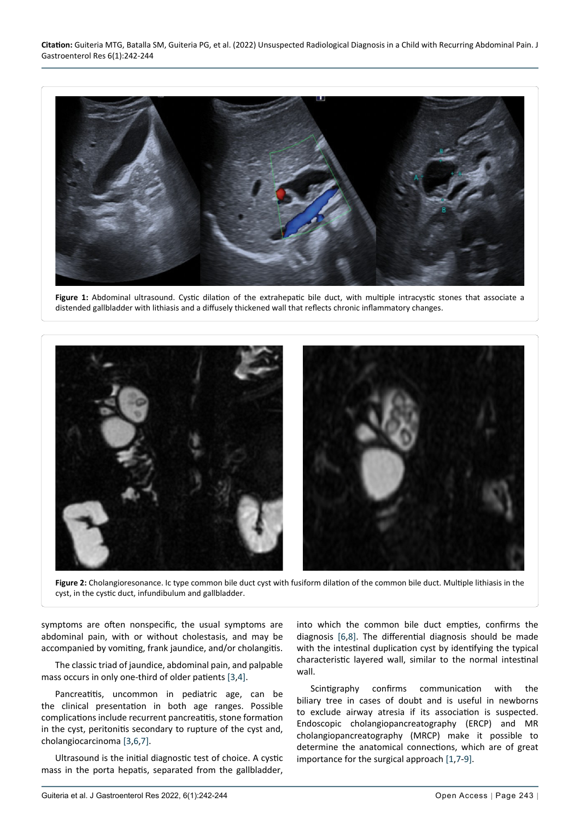<span id="page-1-0"></span>

**Figure 1:** Abdominal ultrasound. Cystic dilation of the extrahepatic bile duct, with multiple intracystic stones that associate a distended gallbladder with lithiasis and a diffusely thickened wall that reflects chronic inflammatory changes.

<span id="page-1-1"></span>

**Figure 2:** Cholangioresonance. Ic type common bile duct cyst with fusiform dilation of the common bile duct. Multiple lithiasis in the cyst, in the cystic duct, infundibulum and gallbladder.

symptoms are often nonspecific, the usual symptoms are abdominal pain, with or without cholestasis, and may be accompanied by vomiting, frank jaundice, and/or cholangitis.

The classic triad of jaundice, abdominal pain, and palpable mass occurs in only one-third of older patients [\[3](#page-2-3),[4](#page-2-8)].

Pancreatitis, uncommon in pediatric age, can be the clinical presentation in both age ranges. Possible complications include recurrent pancreatitis, stone formation in the cyst, peritonitis secondary to rupture of the cyst and, cholangiocarcinoma [[3](#page-2-3)[,6](#page-2-4),[7\]](#page-2-6).

Ultrasound is the initial diagnostic test of choice. A cystic mass in the porta hepatis, separated from the gallbladder, into which the common bile duct empties, confirms the diagnosis [[6,](#page-2-4)[8\]](#page-2-5). The differential diagnosis should be made with the intestinal duplication cyst by identifying the typical characteristic layered wall, similar to the normal intestinal wall.

Scintigraphy confirms communication with the biliary tree in cases of doubt and is useful in newborns to exclude airway atresia if its association is suspected. Endoscopic cholangiopancreatography (ERCP) and MR cholangiopancreatography (MRCP) make it possible to determine the anatomical connections, which are of great importance for the surgical approach [[1](#page-2-1)[,7](#page-2-6)-[9](#page-2-7)].